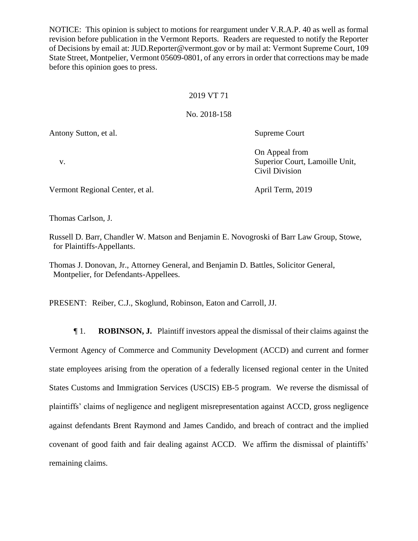NOTICE: This opinion is subject to motions for reargument under V.R.A.P. 40 as well as formal revision before publication in the Vermont Reports. Readers are requested to notify the Reporter of Decisions by email at: JUD.Reporter@vermont.gov or by mail at: Vermont Supreme Court, 109 State Street, Montpelier, Vermont 05609-0801, of any errors in order that corrections may be made before this opinion goes to press.

### 2019 VT 71

### No. 2018-158

Antony Sutton, et al. Supreme Court

On Appeal from

Civil Division

v. Superior Court, Lamoille Unit,

Vermont Regional Center, et al. April Term, 2019

Thomas Carlson, J.

Russell D. Barr, Chandler W. Matson and Benjamin E. Novogroski of Barr Law Group, Stowe, for Plaintiffs-Appellants.

Thomas J. Donovan, Jr., Attorney General, and Benjamin D. Battles, Solicitor General, Montpelier, for Defendants-Appellees.

PRESENT: Reiber, C.J., Skoglund, Robinson, Eaton and Carroll, JJ.

¶ 1. **ROBINSON, J.** Plaintiff investors appeal the dismissal of their claims against the Vermont Agency of Commerce and Community Development (ACCD) and current and former state employees arising from the operation of a federally licensed regional center in the United States Customs and Immigration Services (USCIS) EB-5 program. We reverse the dismissal of plaintiffs' claims of negligence and negligent misrepresentation against ACCD, gross negligence against defendants Brent Raymond and James Candido, and breach of contract and the implied covenant of good faith and fair dealing against ACCD. We affirm the dismissal of plaintiffs' remaining claims.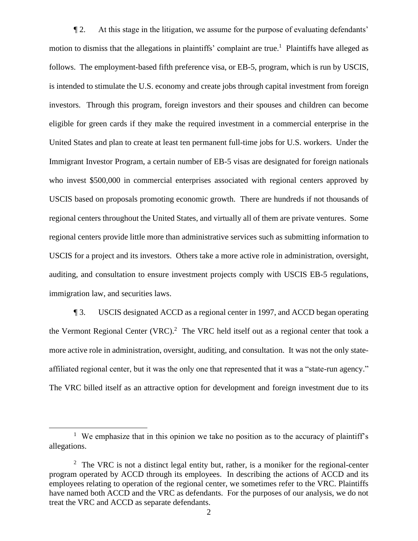¶ 2. At this stage in the litigation, we assume for the purpose of evaluating defendants' motion to dismiss that the allegations in plaintiffs' complaint are true.<sup>1</sup> Plaintiffs have alleged as follows. The employment-based fifth preference visa, or EB-5, program, which is run by USCIS, is intended to stimulate the U.S. economy and create jobs through capital investment from foreign investors. Through this program, foreign investors and their spouses and children can become eligible for green cards if they make the required investment in a commercial enterprise in the United States and plan to create at least ten permanent full-time jobs for U.S. workers. Under the Immigrant Investor Program, a certain number of EB-5 visas are designated for foreign nationals who invest \$500,000 in commercial enterprises associated with regional centers approved by USCIS based on proposals promoting economic growth. There are hundreds if not thousands of regional centers throughout the United States, and virtually all of them are private ventures. Some regional centers provide little more than administrative services such as submitting information to USCIS for a project and its investors. Others take a more active role in administration, oversight, auditing, and consultation to ensure investment projects comply with USCIS EB-5 regulations, immigration law, and securities laws.

¶ 3. USCIS designated ACCD as a regional center in 1997, and ACCD began operating the Vermont Regional Center (VRC).<sup>2</sup> The VRC held itself out as a regional center that took a more active role in administration, oversight, auditing, and consultation. It was not the only stateaffiliated regional center, but it was the only one that represented that it was a "state-run agency." The VRC billed itself as an attractive option for development and foreign investment due to its

<sup>&</sup>lt;sup>1</sup> We emphasize that in this opinion we take no position as to the accuracy of plaintiff's allegations.

 $2$  The VRC is not a distinct legal entity but, rather, is a moniker for the regional-center program operated by ACCD through its employees. In describing the actions of ACCD and its employees relating to operation of the regional center, we sometimes refer to the VRC. Plaintiffs have named both ACCD and the VRC as defendants. For the purposes of our analysis, we do not treat the VRC and ACCD as separate defendants.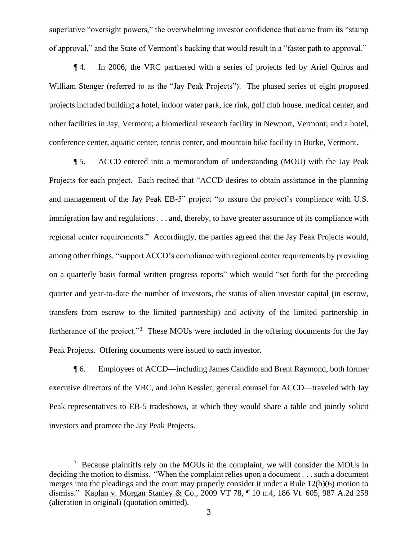superlative "oversight powers," the overwhelming investor confidence that came from its "stamp of approval," and the State of Vermont's backing that would result in a "faster path to approval."

¶ 4. In 2006, the VRC partnered with a series of projects led by Ariel Quiros and William Stenger (referred to as the "Jay Peak Projects"). The phased series of eight proposed projects included building a hotel, indoor water park, ice rink, golf club house, medical center, and other facilities in Jay, Vermont; a biomedical research facility in Newport, Vermont; and a hotel, conference center, aquatic center, tennis center, and mountain bike facility in Burke, Vermont.

¶ 5. ACCD entered into a memorandum of understanding (MOU) with the Jay Peak Projects for each project. Each recited that "ACCD desires to obtain assistance in the planning and management of the Jay Peak EB-5" project "to assure the project's compliance with U.S. immigration law and regulations . . . and, thereby, to have greater assurance of its compliance with regional center requirements." Accordingly, the parties agreed that the Jay Peak Projects would, among other things, "support ACCD's compliance with regional center requirements by providing on a quarterly basis formal written progress reports" which would "set forth for the preceding quarter and year-to-date the number of investors, the status of alien investor capital (in escrow, transfers from escrow to the limited partnership) and activity of the limited partnership in furtherance of the project."<sup>3</sup> These MOUs were included in the offering documents for the Jay Peak Projects. Offering documents were issued to each investor.

¶ 6. Employees of ACCD—including James Candido and Brent Raymond, both former executive directors of the VRC, and John Kessler, general counsel for ACCD—traveled with Jay Peak representatives to EB-5 tradeshows, at which they would share a table and jointly solicit investors and promote the Jay Peak Projects.

<sup>&</sup>lt;sup>3</sup> Because plaintiffs rely on the MOUs in the complaint, we will consider the MOUs in deciding the motion to dismiss. "When the complaint relies upon a document . . . such a document merges into the pleadings and the court may properly consider it under a Rule 12(b)(6) motion to dismiss." Kaplan v. Morgan Stanley & Co., 2009 VT 78, ¶ 10 n.4, 186 Vt. 605, 987 A.2d 258 (alteration in original) (quotation omitted).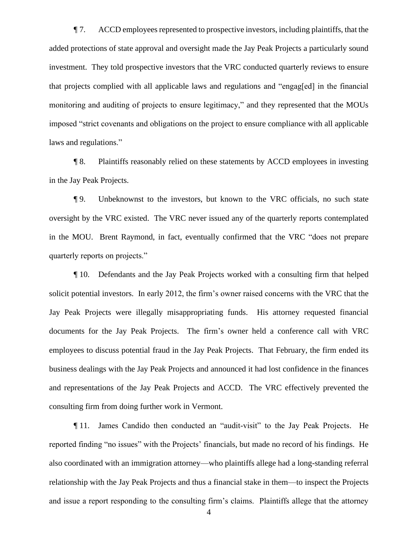$\P$  7. ACCD employees represented to prospective investors, including plaintiffs, that the added protections of state approval and oversight made the Jay Peak Projects a particularly sound investment. They told prospective investors that the VRC conducted quarterly reviews to ensure that projects complied with all applicable laws and regulations and "engag[ed] in the financial monitoring and auditing of projects to ensure legitimacy," and they represented that the MOUs imposed "strict covenants and obligations on the project to ensure compliance with all applicable laws and regulations."

¶ 8. Plaintiffs reasonably relied on these statements by ACCD employees in investing in the Jay Peak Projects.

¶ 9. Unbeknownst to the investors, but known to the VRC officials, no such state oversight by the VRC existed. The VRC never issued any of the quarterly reports contemplated in the MOU. Brent Raymond, in fact, eventually confirmed that the VRC "does not prepare quarterly reports on projects."

¶ 10. Defendants and the Jay Peak Projects worked with a consulting firm that helped solicit potential investors. In early 2012, the firm's owner raised concerns with the VRC that the Jay Peak Projects were illegally misappropriating funds. His attorney requested financial documents for the Jay Peak Projects. The firm's owner held a conference call with VRC employees to discuss potential fraud in the Jay Peak Projects. That February, the firm ended its business dealings with the Jay Peak Projects and announced it had lost confidence in the finances and representations of the Jay Peak Projects and ACCD. The VRC effectively prevented the consulting firm from doing further work in Vermont.

¶ 11. James Candido then conducted an "audit-visit" to the Jay Peak Projects. He reported finding "no issues" with the Projects' financials, but made no record of his findings. He also coordinated with an immigration attorney—who plaintiffs allege had a long-standing referral relationship with the Jay Peak Projects and thus a financial stake in them—to inspect the Projects and issue a report responding to the consulting firm's claims. Plaintiffs allege that the attorney

4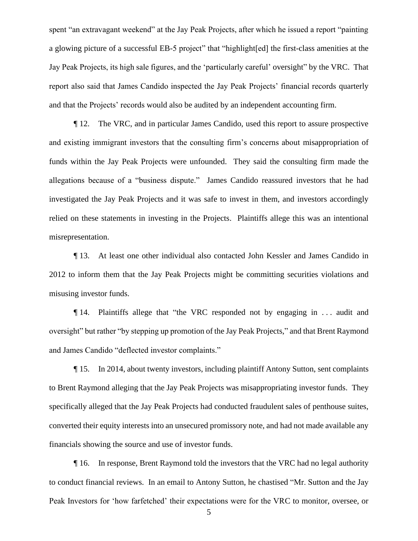spent "an extravagant weekend" at the Jay Peak Projects, after which he issued a report "painting a glowing picture of a successful EB-5 project" that "highlight[ed] the first-class amenities at the Jay Peak Projects, its high sale figures, and the 'particularly careful' oversight" by the VRC. That report also said that James Candido inspected the Jay Peak Projects' financial records quarterly and that the Projects' records would also be audited by an independent accounting firm.

¶ 12. The VRC, and in particular James Candido, used this report to assure prospective and existing immigrant investors that the consulting firm's concerns about misappropriation of funds within the Jay Peak Projects were unfounded. They said the consulting firm made the allegations because of a "business dispute." James Candido reassured investors that he had investigated the Jay Peak Projects and it was safe to invest in them, and investors accordingly relied on these statements in investing in the Projects. Plaintiffs allege this was an intentional misrepresentation.

¶ 13. At least one other individual also contacted John Kessler and James Candido in 2012 to inform them that the Jay Peak Projects might be committing securities violations and misusing investor funds.

¶ 14. Plaintiffs allege that "the VRC responded not by engaging in . . . audit and oversight" but rather "by stepping up promotion of the Jay Peak Projects," and that Brent Raymond and James Candido "deflected investor complaints."

¶ 15. In 2014, about twenty investors, including plaintiff Antony Sutton, sent complaints to Brent Raymond alleging that the Jay Peak Projects was misappropriating investor funds. They specifically alleged that the Jay Peak Projects had conducted fraudulent sales of penthouse suites, converted their equity interests into an unsecured promissory note, and had not made available any financials showing the source and use of investor funds.

¶ 16. In response, Brent Raymond told the investors that the VRC had no legal authority to conduct financial reviews. In an email to Antony Sutton, he chastised "Mr. Sutton and the Jay Peak Investors for 'how farfetched' their expectations were for the VRC to monitor, oversee, or

5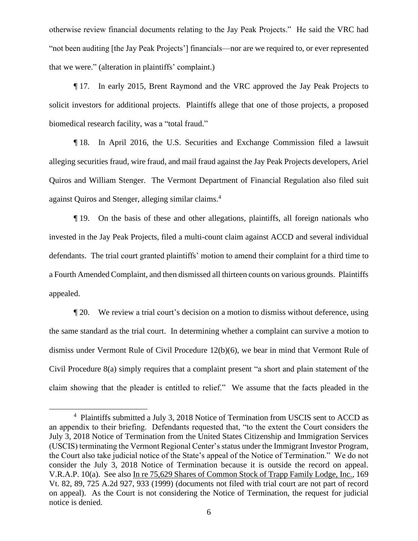otherwise review financial documents relating to the Jay Peak Projects." He said the VRC had "not been auditing [the Jay Peak Projects'] financials—nor are we required to, or ever represented that we were." (alteration in plaintiffs' complaint.)

¶ 17. In early 2015, Brent Raymond and the VRC approved the Jay Peak Projects to solicit investors for additional projects. Plaintiffs allege that one of those projects, a proposed biomedical research facility, was a "total fraud."

¶ 18. In April 2016, the U.S. Securities and Exchange Commission filed a lawsuit alleging securities fraud, wire fraud, and mail fraud against the Jay Peak Projects developers, Ariel Quiros and William Stenger. The Vermont Department of Financial Regulation also filed suit against Quiros and Stenger, alleging similar claims.<sup>4</sup>

¶ 19. On the basis of these and other allegations, plaintiffs, all foreign nationals who invested in the Jay Peak Projects, filed a multi-count claim against ACCD and several individual defendants. The trial court granted plaintiffs' motion to amend their complaint for a third time to a Fourth Amended Complaint, and then dismissed all thirteen counts on various grounds. Plaintiffs appealed.

¶ 20. We review a trial court's decision on a motion to dismiss without deference, using the same standard as the trial court. In determining whether a complaint can survive a motion to dismiss under Vermont Rule of Civil Procedure 12(b)(6), we bear in mind that Vermont Rule of Civil Procedure 8(a) simply requires that a complaint present "a short and plain statement of the claim showing that the pleader is entitled to relief." We assume that the facts pleaded in the

<sup>&</sup>lt;sup>4</sup> Plaintiffs submitted a July 3, 2018 Notice of Termination from USCIS sent to ACCD as an appendix to their briefing. Defendants requested that, "to the extent the Court considers the July 3, 2018 Notice of Termination from the United States Citizenship and Immigration Services (USCIS) terminating the Vermont Regional Center's status under the Immigrant Investor Program, the Court also take judicial notice of the State's appeal of the Notice of Termination." We do not consider the July 3, 2018 Notice of Termination because it is outside the record on appeal. V.R.A.P. 10(a). See also In re 75,629 Shares of Common Stock of Trapp Family Lodge, Inc., 169 Vt. 82, 89, 725 A.2d 927, 933 (1999) (documents not filed with trial court are not part of record on appeal). As the Court is not considering the Notice of Termination, the request for judicial notice is denied.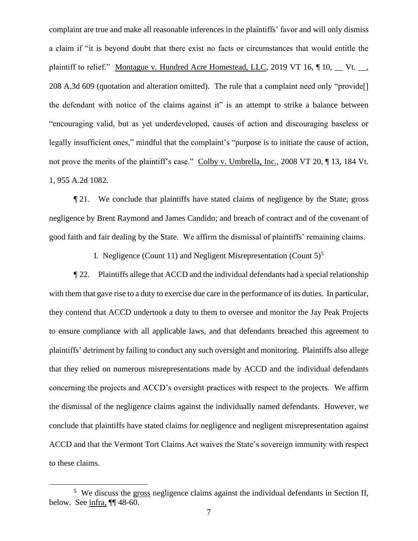complaint are true and make all reasonable inferences in the plaintiffs' favor and will only dismiss a claim if "it is beyond doubt that there exist no facts or circumstances that would entitle the plaintiff to relief." Montague v. Hundred Acre Homestead, LLC, 2019 VT 16,  $\P$  10,  $\P$  Vt.  $\Box$ , 208 A.3d 609 (quotation and alteration omitted). The rule that a complaint need only "provide[] the defendant with notice of the claims against it" is an attempt to strike a balance between "encouraging valid, but as yet underdeveloped, causes of action and discouraging baseless or legally insufficient ones," mindful that the complaint's "purpose is to initiate the cause of action, not prove the merits of the plaintiff's case." Colby v. Umbrella, Inc., 2008 VT 20, ¶ 13, 184 Vt. 1, 955 A.2d 1082.

¶ 21. We conclude that plaintiffs have stated claims of negligence by the State; gross negligence by Brent Raymond and James Candido; and breach of contract and of the covenant of good faith and fair dealing by the State. We affirm the dismissal of plaintiffs' remaining claims.

I. Negligence (Count 11) and Negligent Misrepresentation (Count  $5$ )<sup>5</sup>

¶ 22. Plaintiffs allege that ACCD and the individual defendants had a special relationship with them that gave rise to a duty to exercise due care in the performance of its duties. In particular, they contend that ACCD undertook a duty to them to oversee and monitor the Jay Peak Projects to ensure compliance with all applicable laws, and that defendants breached this agreement to plaintiffs' detriment by failing to conduct any such oversight and monitoring. Plaintiffs also allege that they relied on numerous misrepresentations made by ACCD and the individual defendants concerning the projects and ACCD's oversight practices with respect to the projects. We affirm the dismissal of the negligence claims against the individually named defendants. However, we conclude that plaintiffs have stated claims for negligence and negligent misrepresentation against ACCD and that the Vermont Tort Claims Act waives the State's sovereign immunity with respect to these claims.

<sup>&</sup>lt;sup>5</sup> We discuss the gross negligence claims against the individual defendants in Section II, below. See infra, ¶¶ 48-60.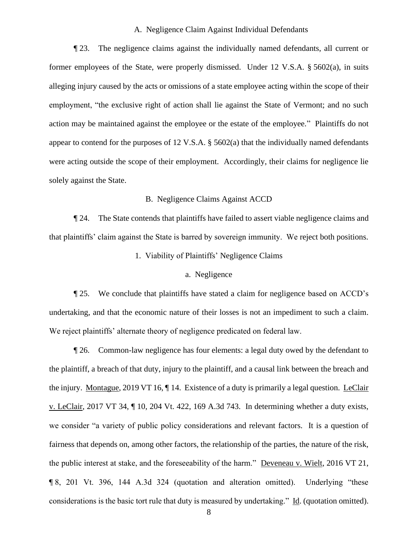### A. Negligence Claim Against Individual Defendants

¶ 23. The negligence claims against the individually named defendants, all current or former employees of the State, were properly dismissed. Under 12 V.S.A. § 5602(a), in suits alleging injury caused by the acts or omissions of a state employee acting within the scope of their employment, "the exclusive right of action shall lie against the State of Vermont; and no such action may be maintained against the employee or the estate of the employee." Plaintiffs do not appear to contend for the purposes of 12 V.S.A. § 5602(a) that the individually named defendants were acting outside the scope of their employment. Accordingly, their claims for negligence lie solely against the State.

## B. Negligence Claims Against ACCD

¶ 24. The State contends that plaintiffs have failed to assert viable negligence claims and that plaintiffs' claim against the State is barred by sovereign immunity. We reject both positions.

## 1. Viability of Plaintiffs' Negligence Claims

#### a. Negligence

¶ 25. We conclude that plaintiffs have stated a claim for negligence based on ACCD's undertaking, and that the economic nature of their losses is not an impediment to such a claim. We reject plaintiffs' alternate theory of negligence predicated on federal law.

¶ 26. Common-law negligence has four elements: a legal duty owed by the defendant to the plaintiff, a breach of that duty, injury to the plaintiff, and a causal link between the breach and the injury. Montague, 2019 VT 16, ¶ 14. Existence of a duty is primarily a legal question. LeClair v. LeClair, 2017 VT 34, ¶ 10, 204 Vt. 422, 169 A.3d 743. In determining whether a duty exists, we consider "a variety of public policy considerations and relevant factors. It is a question of fairness that depends on, among other factors, the relationship of the parties, the nature of the risk, the public interest at stake, and the foreseeability of the harm." Deveneau v. Wielt, 2016 VT 21, ¶ 8, 201 Vt. 396, 144 A.3d 324 (quotation and alteration omitted). Underlying "these considerations is the basic tort rule that duty is measured by undertaking." Id. (quotation omitted).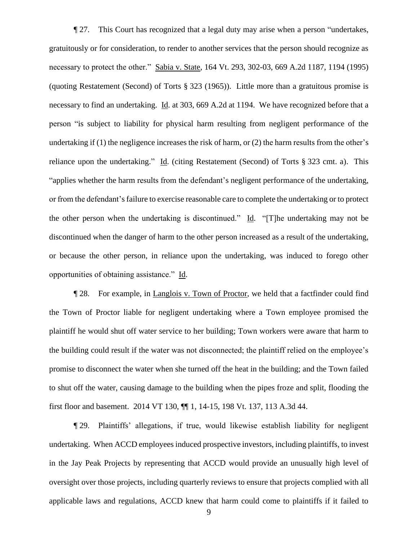¶ 27. This Court has recognized that a legal duty may arise when a person "undertakes, gratuitously or for consideration, to render to another services that the person should recognize as necessary to protect the other." Sabia v. State, 164 Vt. 293, 302-03, 669 A.2d 1187, 1194 (1995) (quoting Restatement (Second) of Torts § 323 (1965)). Little more than a gratuitous promise is necessary to find an undertaking. Id. at 303, 669 A.2d at 1194. We have recognized before that a person "is subject to liability for physical harm resulting from negligent performance of the undertaking if (1) the negligence increases the risk of harm, or (2) the harm results from the other's reliance upon the undertaking." Id. (citing Restatement (Second) of Torts § 323 cmt. a). This "applies whether the harm results from the defendant's negligent performance of the undertaking, or from the defendant's failure to exercise reasonable care to complete the undertaking or to protect the other person when the undertaking is discontinued." Id. "[T]he undertaking may not be discontinued when the danger of harm to the other person increased as a result of the undertaking, or because the other person, in reliance upon the undertaking, was induced to forego other opportunities of obtaining assistance." Id.

¶ 28. For example, in Langlois v. Town of Proctor, we held that a factfinder could find the Town of Proctor liable for negligent undertaking where a Town employee promised the plaintiff he would shut off water service to her building; Town workers were aware that harm to the building could result if the water was not disconnected; the plaintiff relied on the employee's promise to disconnect the water when she turned off the heat in the building; and the Town failed to shut off the water, causing damage to the building when the pipes froze and split, flooding the first floor and basement. 2014 VT 130, ¶¶ 1, 14-15, 198 Vt. 137, 113 A.3d 44.

¶ 29. Plaintiffs' allegations, if true, would likewise establish liability for negligent undertaking. When ACCD employees induced prospective investors, including plaintiffs, to invest in the Jay Peak Projects by representing that ACCD would provide an unusually high level of oversight over those projects, including quarterly reviews to ensure that projects complied with all applicable laws and regulations, ACCD knew that harm could come to plaintiffs if it failed to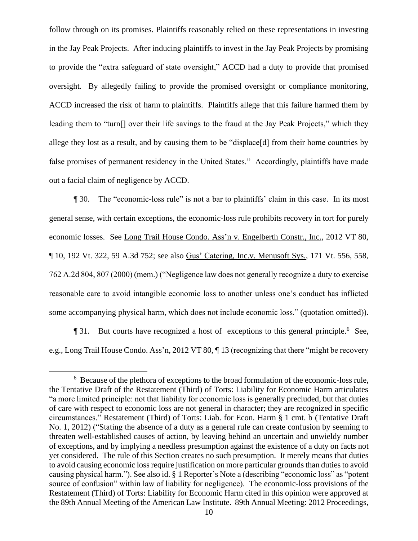follow through on its promises. Plaintiffs reasonably relied on these representations in investing in the Jay Peak Projects. After inducing plaintiffs to invest in the Jay Peak Projects by promising to provide the "extra safeguard of state oversight," ACCD had a duty to provide that promised oversight. By allegedly failing to provide the promised oversight or compliance monitoring, ACCD increased the risk of harm to plaintiffs. Plaintiffs allege that this failure harmed them by leading them to "turn[] over their life savings to the fraud at the Jay Peak Projects," which they allege they lost as a result, and by causing them to be "displace[d] from their home countries by false promises of permanent residency in the United States." Accordingly, plaintiffs have made out a facial claim of negligence by ACCD.

¶ 30. The "economic-loss rule" is not a bar to plaintiffs' claim in this case. In its most general sense, with certain exceptions, the economic-loss rule prohibits recovery in tort for purely economic losses. See [Long Trail House Condo. Ass'n v. Engelberth Constr., Inc., 2012 VT 80,](https://1.next.westlaw.com/Link/Document/FullText?findType=Y&serNum=2028734148&pubNum=0007691&originatingDoc=I92469dafcc8711e4a795ac035416da91&refType=RP&originationContext=document&transitionType=DocumentItem&contextData=(sc.Search))  ¶ [10, 192 Vt. 322, 59 A.3d 752;](https://1.next.westlaw.com/Link/Document/FullText?findType=Y&serNum=2028734148&pubNum=0007691&originatingDoc=I92469dafcc8711e4a795ac035416da91&refType=RP&originationContext=document&transitionType=DocumentItem&contextData=(sc.Search)) see also Gus' Catering, Inc.v. Menusoft Sys., 171 Vt. 556, 558, 762 A.2d 804, 807 (2000) (mem.) ("Negligence law does not generally recognize a duty to exercise reasonable care to avoid intangible economic loss to another unless one's conduct has inflicted some accompanying physical harm, which does not include economic loss." (quotation omitted)).

**The 31.** But courts have recognized a host of exceptions to this general principle.<sup>6</sup> See, e.g., [Long Trail House Condo. Ass'n, 2012 VT 80, ¶](https://1.next.westlaw.com/Link/Document/FullText?findType=Y&serNum=2028734148&pubNum=0007691&originatingDoc=I92469dafcc8711e4a795ac035416da91&refType=RP&originationContext=document&transitionType=DocumentItem&contextData=(sc.Search)) 13 (recognizing that there "might be recovery

<sup>6</sup> Because of the plethora of exceptions to the broad formulation of the economic-loss rule, the Tentative Draft of the Restatement (Third) of Torts: Liability for Economic Harm articulates "a more limited principle: not that liability for economic loss is generally precluded, but that duties of care with respect to economic loss are not general in character; they are recognized in specific circumstances." Restatement (Third) of Torts: Liab. for Econ. Harm § 1 cmt. b (Tentative Draft No. 1, 2012) ("Stating the absence of a duty as a general rule can create confusion by seeming to threaten well-established causes of action, by leaving behind an uncertain and unwieldy number of exceptions, and by implying a needless presumption against the existence of a duty on facts not yet considered. The rule of this Section creates no such presumption. It merely means that duties to avoid causing economic loss require justification on more particular grounds than duties to avoid causing physical harm."). See also id. § 1 Reporter's Note a (describing "economic loss" as "potent source of confusion" within law of liability for negligence). The economic-loss provisions of the Restatement (Third) of Torts: Liability for Economic Harm cited in this opinion were approved at the 89th Annual Meeting of the American Law Institute. 89th Annual Meeting: 2012 Proceedings,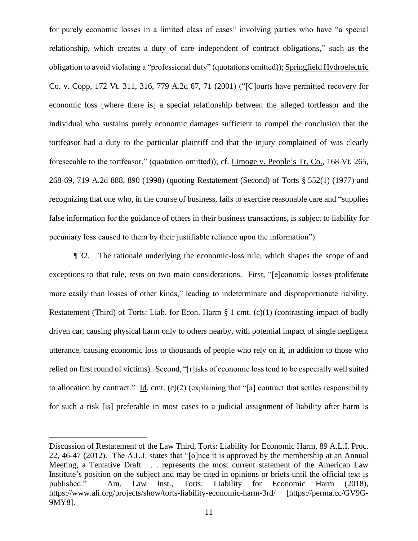for purely economic losses in a limited class of cases" involving parties who have "a special relationship, which creates a duty of care independent of contract obligations," such as the obligation to avoid violating a "professional duty" (quotations omitted)); Springfield Hydroelectric [Co. v. Copp, 172 Vt. 311, 316, 779 A.2d 67, 71 \(2001\)](https://1.next.westlaw.com/Link/Document/FullText?findType=Y&serNum=2001570307&pubNum=0000162&originatingDoc=I92469dafcc8711e4a795ac035416da91&refType=RP&fi=co_pp_sp_162_71&originationContext=document&transitionType=DocumentItem&contextData=(sc.Search)#co_pp_sp_162_71) ("[C]ourts have permitted recovery for economic loss [where there is] a special relationship between the alleged tortfeasor and the individual who sustains purely economic damages sufficient to compel the conclusion that the tortfeasor had a duty to the particular plaintiff and that the injury complained of was clearly foreseeable to the tortfeasor." (quotation omitted)); cf. [Limoge v. People's Tr.](https://1.next.westlaw.com/Link/Document/FullText?findType=Y&serNum=1998184751&pubNum=0000162&originatingDoc=I92469dafcc8711e4a795ac035416da91&refType=RP&fi=co_pp_sp_162_890&originationContext=document&transitionType=DocumentItem&contextData=(sc.Search)#co_pp_sp_162_890) Co., 168 Vt. 265, [268-69, 719 A.2d 888, 890 \(1998\)](https://1.next.westlaw.com/Link/Document/FullText?findType=Y&serNum=1998184751&pubNum=0000162&originatingDoc=I92469dafcc8711e4a795ac035416da91&refType=RP&fi=co_pp_sp_162_890&originationContext=document&transitionType=DocumentItem&contextData=(sc.Search)#co_pp_sp_162_890) (quoting [Restatement \(Second\) of Torts §](https://1.next.westlaw.com/Link/Document/FullText?findType=Y&serNum=0290694407&pubNum=0101577&originatingDoc=I92469dafcc8711e4a795ac035416da91&refType=TS&originationContext=document&transitionType=DocumentItem&contextData=(sc.Search)) 552(1) (1977) and recognizing that one who, in the course of business, fails to exercise reasonable care and "supplies false information for the guidance of others in their business transactions, is subject to liability for pecuniary loss caused to them by their justifiable reliance upon the information").

¶ 32. The rationale underlying the economic-loss rule, which shapes the scope of and exceptions to that rule, rests on two main considerations. First, "[e]conomic losses proliferate more easily than losses of other kinds," leading to indeterminate and disproportionate liability. Restatement (Third) of Torts: Liab. for Econ. Harm § 1 cmt. (c)(1) (contrasting impact of badly driven car, causing physical harm only to others nearby, with potential impact of single negligent utterance, causing economic loss to thousands of people who rely on it, in addition to those who relied on first round of victims). Second, "[r]isks of economic loss tend to be especially well suited to allocation by contract." Id. cmt.  $(c)(2)$  (explaining that "[a] contract that settles responsibility for such a risk [is] preferable in most cases to a judicial assignment of liability after harm is

Discussion of Restatement of the Law Third, Torts: Liability for Economic Harm, 89 A.L.I. Proc. 22, 46-47 (2012). The A.L.I. states that "[o]nce it is approved by the membership at an Annual Meeting, a Tentative Draft . . . represents the most current statement of the American Law Institute's position on the subject and may be cited in opinions or briefs until the official text is published." Am. Law Inst., Torts: Liability for Economic Harm (2018), https://www.ali.org/projects/show/torts-liability-economic-harm-3rd/ [https://perma.cc/GV9G-9MY8].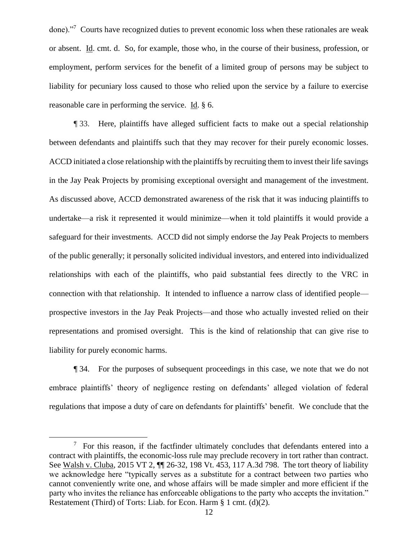done)."<sup>7</sup> Courts have recognized duties to prevent economic loss when these rationales are weak or absent. Id. cmt. d. So, for example, those who, in the course of their business, profession, or employment, perform services for the benefit of a limited group of persons may be subject to liability for pecuniary loss caused to those who relied upon the service by a failure to exercise reasonable care in performing the service. Id. § 6.

¶ 33. Here, plaintiffs have alleged sufficient facts to make out a special relationship between defendants and plaintiffs such that they may recover for their purely economic losses. ACCD initiated a close relationship with the plaintiffs by recruiting them to invest their life savings in the Jay Peak Projects by promising exceptional oversight and management of the investment. As discussed above, ACCD demonstrated awareness of the risk that it was inducing plaintiffs to undertake—a risk it represented it would minimize—when it told plaintiffs it would provide a safeguard for their investments. ACCD did not simply endorse the Jay Peak Projects to members of the public generally; it personally solicited individual investors, and entered into individualized relationships with each of the plaintiffs, who paid substantial fees directly to the VRC in connection with that relationship. It intended to influence a narrow class of identified people prospective investors in the Jay Peak Projects—and those who actually invested relied on their representations and promised oversight. This is the kind of relationship that can give rise to liability for purely economic harms.

¶ 34. For the purposes of subsequent proceedings in this case, we note that we do not embrace plaintiffs' theory of negligence resting on defendants' alleged violation of federal regulations that impose a duty of care on defendants for plaintiffs' benefit. We conclude that the

 $7$  For this reason, if the factfinder ultimately concludes that defendants entered into a contract with plaintiffs, the economic-loss rule may preclude recovery in tort rather than contract. See Walsh v. Cluba, 2015 VT 2, ¶¶ 26-32, 198 Vt. 453, 117 A.3d 798. The tort theory of liability we acknowledge here "typically serves as a substitute for a contract between two parties who cannot conveniently write one, and whose affairs will be made simpler and more efficient if the party who invites the reliance has enforceable obligations to the party who accepts the invitation." Restatement (Third) of Torts: Liab. for Econ. Harm § 1 cmt. (d)(2).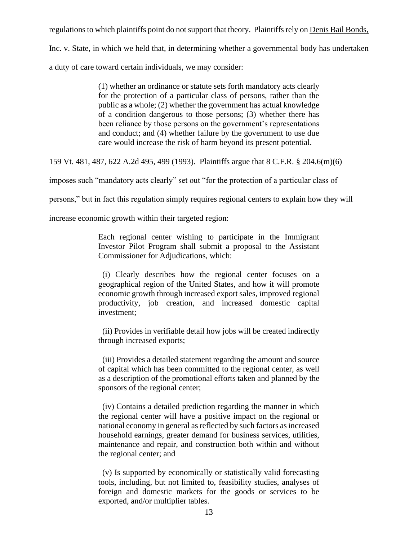regulations to which plaintiffs point do not support that theory. Plaintiffs rely on Denis Bail Bonds,

Inc. v. State, in which we held that, in determining whether a governmental body has undertaken

a duty of care toward certain individuals, we may consider:

(1) whether an ordinance or statute sets forth mandatory acts clearly for the protection of a particular class of persons, rather than the public as a whole; (2) whether the government has actual knowledge of a condition dangerous to those persons; (3) whether there has been reliance by those persons on the government's representations and conduct; and (4) whether failure by the government to use due care would increase the risk of harm beyond its present potential.

159 Vt. 481, 487, 622 A.2d 495, 499 (1993). Plaintiffs argue that 8 C.F.R. § 204.6(m)(6)

imposes such "mandatory acts clearly" set out "for the protection of a particular class of

persons," but in fact this regulation simply requires regional centers to explain how they will

increase economic growth within their targeted region:

Each regional center wishing to participate in the Immigrant Investor Pilot Program shall submit a proposal to the Assistant Commissioner for Adjudications, which:

 (i) Clearly describes how the regional center focuses on a geographical region of the United States, and how it will promote economic growth through increased export sales, improved regional productivity, job creation, and increased domestic capital investment;

 (ii) Provides in verifiable detail how jobs will be created indirectly through increased exports;

 (iii) Provides a detailed statement regarding the amount and source of capital which has been committed to the regional center, as well as a description of the promotional efforts taken and planned by the sponsors of the regional center;

 (iv) Contains a detailed prediction regarding the manner in which the regional center will have a positive impact on the regional or national economy in general as reflected by such factors as increased household earnings, greater demand for business services, utilities, maintenance and repair, and construction both within and without the regional center; and

 (v) Is supported by economically or statistically valid forecasting tools, including, but not limited to, feasibility studies, analyses of foreign and domestic markets for the goods or services to be exported, and/or multiplier tables.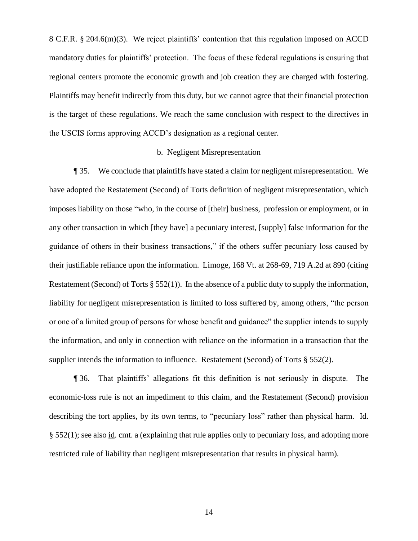8 C.F.R. § 204.6(m)(3). We reject plaintiffs' contention that this regulation imposed on ACCD mandatory duties for plaintiffs' protection. The focus of these federal regulations is ensuring that regional centers promote the economic growth and job creation they are charged with fostering. Plaintiffs may benefit indirectly from this duty, but we cannot agree that their financial protection is the target of these regulations. We reach the same conclusion with respect to the directives in the USCIS forms approving ACCD's designation as a regional center.

#### b. Negligent Misrepresentation

¶ 35. We conclude that plaintiffs have stated a claim for negligent misrepresentation. We have adopted the Restatement (Second) of Torts definition of negligent misrepresentation, which imposes liability on those "who, in the course of [their] business, profession or employment, or in any other transaction in which [they have] a pecuniary interest, [supply] false information for the guidance of others in their business transactions," if the others suffer pecuniary loss caused by their justifiable reliance upon the information. Limoge, 168 Vt. at 268-69, 719 A.2d at 890 (citing Restatement (Second) of Torts § 552(1)). In the absence of a public duty to supply the information, liability for negligent misrepresentation is limited to loss suffered by, among others, "the person or one of a limited group of persons for whose benefit and guidance" the supplier intends to supply the information, and only in connection with reliance on the information in a transaction that the supplier intends the information to influence. Restatement (Second) of Torts § 552(2).

¶ 36. That plaintiffs' allegations fit this definition is not seriously in dispute. The economic-loss rule is not an impediment to this claim, and the Restatement (Second) provision describing the tort applies, by its own terms, to "pecuniary loss" rather than physical harm. Id. § 552(1); see also id. cmt. a (explaining that rule applies only to pecuniary loss, and adopting more restricted rule of liability than negligent misrepresentation that results in physical harm).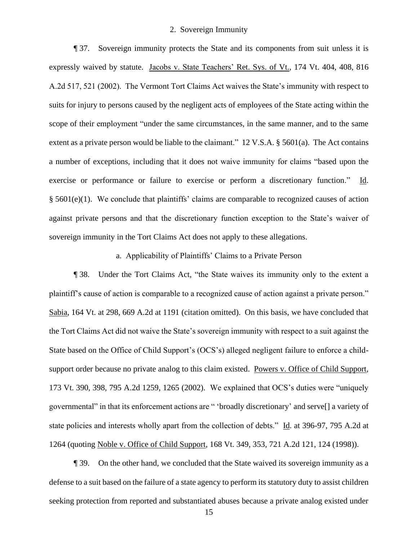#### 2. Sovereign Immunity

¶ 37. Sovereign immunity protects the State and its components from suit unless it is expressly waived by statute. Jacobs v. State Teachers' Ret. Sys. of Vt., 174 Vt. 404, 408, 816 A.2d 517, 521 (2002). The Vermont Tort Claims Act waives the State's immunity with respect to suits for injury to persons caused by the negligent acts of employees of the State acting within the scope of their employment "under the same circumstances, in the same manner, and to the same extent as a private person would be liable to the claimant." 12 V.S.A. § 5601(a). The Act contains a number of exceptions, including that it does not waive immunity for claims "based upon the exercise or performance or failure to exercise or perform a discretionary function." Id. § 5601(e)(1). We conclude that plaintiffs' claims are comparable to recognized causes of action against private persons and that the discretionary function exception to the State's waiver of sovereign immunity in the Tort Claims Act does not apply to these allegations.

a. Applicability of Plaintiffs' Claims to a Private Person

¶ 38. Under the Tort Claims Act, "the State waives its immunity only to the extent a plaintiff's cause of action is comparable to a recognized cause of action against a private person." Sabia, 164 Vt. at 298, 669 A.2d at 1191 (citation omitted). On this basis, we have concluded that the Tort Claims Act did not waive the State's sovereign immunity with respect to a suit against the State based on the Office of Child Support's (OCS's) alleged negligent failure to enforce a childsupport order because no private analog to this claim existed. Powers v. Office of Child Support, 173 Vt. 390, 398, 795 A.2d 1259, 1265 (2002). We explained that OCS's duties were "uniquely governmental" in that its enforcement actions are " 'broadly discretionary' and serve[] a variety of state policies and interests wholly apart from the collection of debts." Id. at 396-97, 795 A.2d at 1264 (quoting Noble v. Office of Child Support, 168 Vt. 349, 353, 721 A.2d 121, 124 (1998)).

¶ 39. On the other hand, we concluded that the State waived its sovereign immunity as a defense to a suit based on the failure of a state agency to perform its statutory duty to assist children seeking protection from reported and substantiated abuses because a private analog existed under

15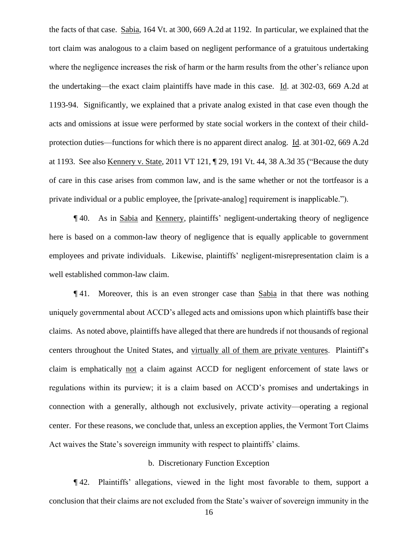the facts of that case. Sabia, 164 Vt. at 300, 669 A.2d at 1192. In particular, we explained that the tort claim was analogous to a claim based on negligent performance of a gratuitous undertaking where the negligence increases the risk of harm or the harm results from the other's reliance upon the undertaking—the exact claim plaintiffs have made in this case. Id. at 302-03, 669 A.2d at 1193-94. Significantly, we explained that a private analog existed in that case even though the acts and omissions at issue were performed by state social workers in the context of their childprotection duties—functions for which there is no apparent direct analog. Id. at 301-02, 669 A.2d at 1193. See also Kennery v. State, 2011 VT 121, ¶ 29, 191 Vt. 44, 38 A.3d 35 ("Because the duty of care in this case arises from common law, and is the same whether or not the tortfeasor is a private individual or a public employee, the [private-analog] requirement is inapplicable.").

¶ 40. As in Sabia and Kennery, plaintiffs' negligent-undertaking theory of negligence here is based on a common-law theory of negligence that is equally applicable to government employees and private individuals. Likewise, plaintiffs' negligent-misrepresentation claim is a well established common-law claim.

¶ 41. Moreover, this is an even stronger case than Sabia in that there was nothing uniquely governmental about ACCD's alleged acts and omissions upon which plaintiffs base their claims. As noted above, plaintiffs have alleged that there are hundreds if not thousands of regional centers throughout the United States, and virtually all of them are private ventures. Plaintiff's claim is emphatically not a claim against ACCD for negligent enforcement of state laws or regulations within its purview; it is a claim based on ACCD's promises and undertakings in connection with a generally, although not exclusively, private activity—operating a regional center. For these reasons, we conclude that, unless an exception applies, the Vermont Tort Claims Act waives the State's sovereign immunity with respect to plaintiffs' claims.

#### b. Discretionary Function Exception

¶ 42. Plaintiffs' allegations, viewed in the light most favorable to them, support a conclusion that their claims are not excluded from the State's waiver of sovereign immunity in the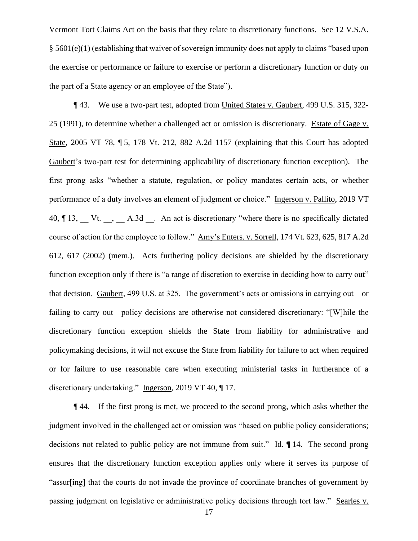Vermont Tort Claims Act on the basis that they relate to discretionary functions. See 12 V.S.A. § 5601(e)(1) (establishing that waiver of sovereign immunity does not apply to claims "based upon the exercise or performance or failure to exercise or perform a discretionary function or duty on the part of a State agency or an employee of the State").

¶ 43. We use a two-part test, adopted from United States v. Gaubert, 499 U.S. 315, 322- 25 (1991), to determine whether a challenged act or omission is discretionary. Estate of Gage v. State, 2005 VT 78, ¶ 5, 178 Vt. 212, 882 A.2d 1157 (explaining that this Court has adopted Gaubert's two-part test for determining applicability of discretionary function exception). The first prong asks "whether a statute, regulation, or policy mandates certain acts, or whether performance of a duty involves an element of judgment or choice." Ingerson v. Pallito, 2019 VT 40, ¶ 13, Vt. , A.3d . An act is discretionary "where there is no specifically dictated course of action for the employee to follow." Amy's Enters. v. Sorrell, 174 Vt. 623, 625, 817 A.2d 612, 617 (2002) (mem.). Acts furthering policy decisions are shielded by the discretionary function exception only if there is "a range of discretion to exercise in deciding how to carry out" that decision. Gaubert, 499 U.S. at 325. The government's acts or omissions in carrying out—or failing to carry out—policy decisions are otherwise not considered discretionary: "[W]hile the discretionary function exception shields the State from liability for administrative and policymaking decisions, it will not excuse the State from liability for failure to act when required or for failure to use reasonable care when executing ministerial tasks in furtherance of a discretionary undertaking." Ingerson, 2019 VT 40, ¶ 17.

¶ 44. If the first prong is met, we proceed to the second prong, which asks whether the judgment involved in the challenged act or omission was "based on public policy considerations; decisions not related to public policy are not immune from suit." Id. ¶ 14. The second prong ensures that the discretionary function exception applies only where it serves its purpose of "assur[ing] that the courts do not invade the province of coordinate branches of government by passing judgment on legislative or administrative policy decisions through tort law." Searles v.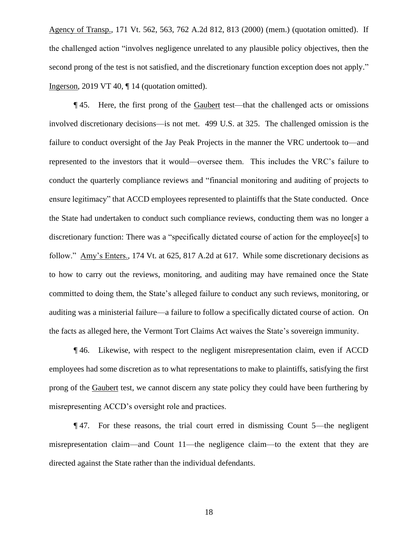Agency of Transp., 171 Vt. 562, 563, 762 A.2d 812, 813 (2000) (mem.) (quotation omitted). If the challenged action "involves negligence unrelated to any plausible policy objectives, then the second prong of the test is not satisfied, and the discretionary function exception does not apply." Ingerson, 2019 VT 40, ¶ 14 (quotation omitted).

¶ 45. Here, the first prong of the Gaubert test—that the challenged acts or omissions involved discretionary decisions—is not met. 499 U.S. at 325. The challenged omission is the failure to conduct oversight of the Jay Peak Projects in the manner the VRC undertook to—and represented to the investors that it would—oversee them. This includes the VRC's failure to conduct the quarterly compliance reviews and "financial monitoring and auditing of projects to ensure legitimacy" that ACCD employees represented to plaintiffs that the State conducted. Once the State had undertaken to conduct such compliance reviews, conducting them was no longer a discretionary function: There was a "specifically dictated course of action for the employee[s] to follow." Amy's Enters., 174 Vt. at 625, 817 A.2d at 617. While some discretionary decisions as to how to carry out the reviews, monitoring, and auditing may have remained once the State committed to doing them, the State's alleged failure to conduct any such reviews, monitoring, or auditing was a ministerial failure—a failure to follow a specifically dictated course of action. On the facts as alleged here, the Vermont Tort Claims Act waives the State's sovereign immunity.

¶ 46. Likewise, with respect to the negligent misrepresentation claim, even if ACCD employees had some discretion as to what representations to make to plaintiffs, satisfying the first prong of the Gaubert test, we cannot discern any state policy they could have been furthering by misrepresenting ACCD's oversight role and practices.

¶ 47. For these reasons, the trial court erred in dismissing Count 5—the negligent misrepresentation claim—and Count 11—the negligence claim—to the extent that they are directed against the State rather than the individual defendants.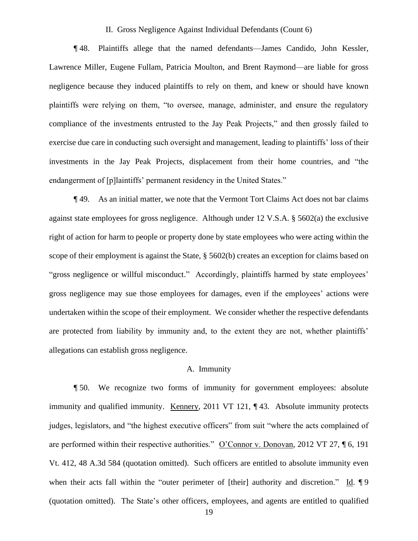#### II. Gross Negligence Against Individual Defendants (Count 6)

¶ 48. Plaintiffs allege that the named defendants—James Candido, John Kessler, Lawrence Miller, Eugene Fullam, Patricia Moulton, and Brent Raymond—are liable for gross negligence because they induced plaintiffs to rely on them, and knew or should have known plaintiffs were relying on them, "to oversee, manage, administer, and ensure the regulatory compliance of the investments entrusted to the Jay Peak Projects," and then grossly failed to exercise due care in conducting such oversight and management, leading to plaintiffs' loss of their investments in the Jay Peak Projects, displacement from their home countries, and "the endangerment of [p]laintiffs' permanent residency in the United States."

¶ 49. As an initial matter, we note that the Vermont Tort Claims Act does not bar claims against state employees for gross negligence. Although under 12 V.S.A. § 5602(a) the exclusive right of action for harm to people or property done by state employees who were acting within the scope of their employment is against the State, § 5602(b) creates an exception for claims based on "gross negligence or willful misconduct." Accordingly, plaintiffs harmed by state employees' gross negligence may sue those employees for damages, even if the employees' actions were undertaken within the scope of their employment. We consider whether the respective defendants are protected from liability by immunity and, to the extent they are not, whether plaintiffs' allegations can establish gross negligence.

#### A. Immunity

¶ 50. We recognize two forms of immunity for government employees: absolute immunity and qualified immunity. Kennery, 2011 VT 121, ¶43. Absolute immunity protects judges, legislators, and "the highest executive officers" from suit "where the acts complained of are performed within their respective authorities." O'Connor v. Donovan, 2012 VT 27, ¶ 6, 191 Vt. 412, 48 A.3d 584 (quotation omitted). Such officers are entitled to absolute immunity even when their acts fall within the "outer perimeter of [their] authority and discretion." Id. ¶ 9 (quotation omitted). The State's other officers, employees, and agents are entitled to qualified

19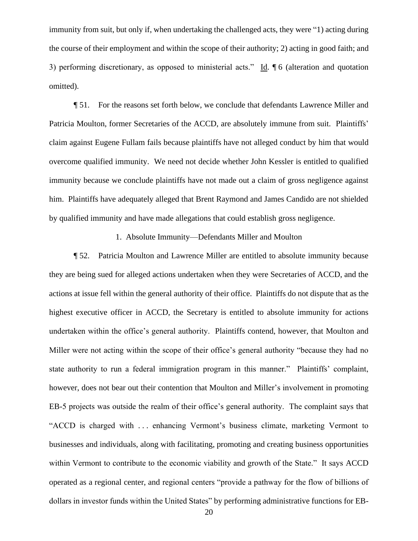immunity from suit, but only if, when undertaking the challenged acts, they were "1) acting during the course of their employment and within the scope of their authority; 2) acting in good faith; and 3) performing discretionary, as opposed to ministerial acts." Id.  $\sqrt{\ }$  6 (alteration and quotation omitted).

¶ 51. For the reasons set forth below, we conclude that defendants Lawrence Miller and Patricia Moulton, former Secretaries of the ACCD, are absolutely immune from suit. Plaintiffs' claim against Eugene Fullam fails because plaintiffs have not alleged conduct by him that would overcome qualified immunity. We need not decide whether John Kessler is entitled to qualified immunity because we conclude plaintiffs have not made out a claim of gross negligence against him. Plaintiffs have adequately alleged that Brent Raymond and James Candido are not shielded by qualified immunity and have made allegations that could establish gross negligence.

1. Absolute Immunity—Defendants Miller and Moulton

¶ 52. Patricia Moulton and Lawrence Miller are entitled to absolute immunity because they are being sued for alleged actions undertaken when they were Secretaries of ACCD, and the actions at issue fell within the general authority of their office. Plaintiffs do not dispute that as the highest executive officer in ACCD, the Secretary is entitled to absolute immunity for actions undertaken within the office's general authority. Plaintiffs contend, however, that Moulton and Miller were not acting within the scope of their office's general authority "because they had no state authority to run a federal immigration program in this manner." Plaintiffs' complaint, however, does not bear out their contention that Moulton and Miller's involvement in promoting EB-5 projects was outside the realm of their office's general authority. The complaint says that "ACCD is charged with . . . enhancing Vermont's business climate, marketing Vermont to businesses and individuals, along with facilitating, promoting and creating business opportunities within Vermont to contribute to the economic viability and growth of the State." It says ACCD operated as a regional center, and regional centers "provide a pathway for the flow of billions of dollars in investor funds within the United States" by performing administrative functions for EB-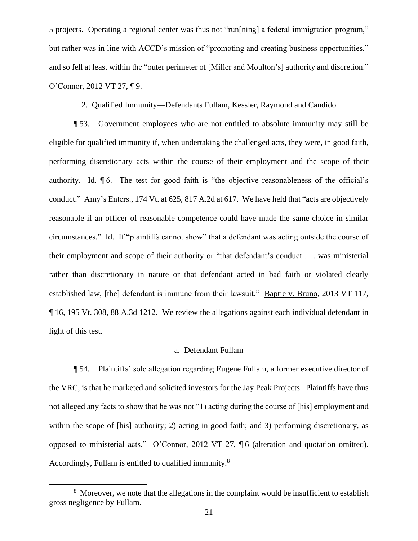5 projects. Operating a regional center was thus not "run[ning] a federal immigration program," but rather was in line with ACCD's mission of "promoting and creating business opportunities," and so fell at least within the "outer perimeter of [Miller and Moulton's] authority and discretion." O'Connor, 2012 VT 27, ¶ 9.

2. Qualified Immunity—Defendants Fullam, Kessler, Raymond and Candido

¶ 53. Government employees who are not entitled to absolute immunity may still be eligible for qualified immunity if, when undertaking the challenged acts, they were, in good faith, performing discretionary acts within the course of their employment and the scope of their authority. Id. ¶ 6. The test for good faith is "the objective reasonableness of the official's conduct." Amy's Enters., 174 Vt. at 625, 817 A.2d at 617. We have held that "acts are objectively reasonable if an officer of reasonable competence could have made the same choice in similar circumstances." Id. If "plaintiffs cannot show" that a defendant was acting outside the course of their employment and scope of their authority or "that defendant's conduct . . . was ministerial rather than discretionary in nature or that defendant acted in bad faith or violated clearly established law, [the] defendant is immune from their lawsuit." Baptie v. Bruno, 2013 VT 117, ¶ 16, 195 Vt. 308, 88 A.3d 1212. We review the allegations against each individual defendant in light of this test.

## a. Defendant Fullam

¶ 54. Plaintiffs' sole allegation regarding Eugene Fullam, a former executive director of the VRC, is that he marketed and solicited investors for the Jay Peak Projects. Plaintiffs have thus not alleged any facts to show that he was not "1) acting during the course of [his] employment and within the scope of [his] authority; 2) acting in good faith; and 3) performing discretionary, as opposed to ministerial acts." O'Connor, 2012 VT 27, ¶ 6 (alteration and quotation omitted). Accordingly, Fullam is entitled to qualified immunity.<sup>8</sup>

 $8\text{ Moreover, we note that the allegations in the complaint would be insufficient to establish }$ gross negligence by Fullam.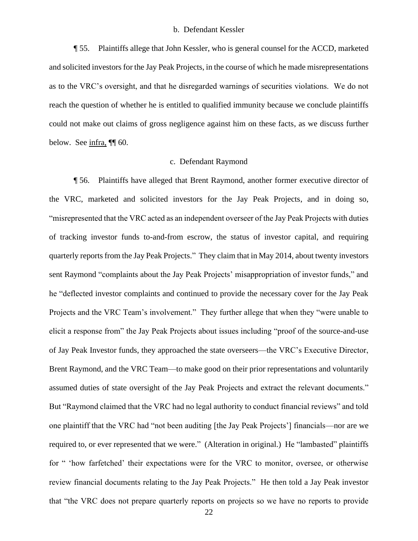#### b. Defendant Kessler

¶ 55. Plaintiffs allege that John Kessler, who is general counsel for the ACCD, marketed and solicited investors for the Jay Peak Projects, in the course of which he made misrepresentations as to the VRC's oversight, and that he disregarded warnings of securities violations. We do not reach the question of whether he is entitled to qualified immunity because we conclude plaintiffs could not make out claims of gross negligence against him on these facts, as we discuss further below. See infra, ¶[ 60.

## c. Defendant Raymond

¶ 56. Plaintiffs have alleged that Brent Raymond, another former executive director of the VRC, marketed and solicited investors for the Jay Peak Projects, and in doing so, "misrepresented that the VRC acted as an independent overseer of the Jay Peak Projects with duties of tracking investor funds to-and-from escrow, the status of investor capital, and requiring quarterly reports from the Jay Peak Projects." They claim that in May 2014, about twenty investors sent Raymond "complaints about the Jay Peak Projects' misappropriation of investor funds," and he "deflected investor complaints and continued to provide the necessary cover for the Jay Peak Projects and the VRC Team's involvement." They further allege that when they "were unable to elicit a response from" the Jay Peak Projects about issues including "proof of the source-and-use of Jay Peak Investor funds, they approached the state overseers—the VRC's Executive Director, Brent Raymond, and the VRC Team—to make good on their prior representations and voluntarily assumed duties of state oversight of the Jay Peak Projects and extract the relevant documents." But "Raymond claimed that the VRC had no legal authority to conduct financial reviews" and told one plaintiff that the VRC had "not been auditing [the Jay Peak Projects'] financials—nor are we required to, or ever represented that we were." (Alteration in original.) He "lambasted" plaintiffs for " 'how farfetched' their expectations were for the VRC to monitor, oversee, or otherwise review financial documents relating to the Jay Peak Projects." He then told a Jay Peak investor that "the VRC does not prepare quarterly reports on projects so we have no reports to provide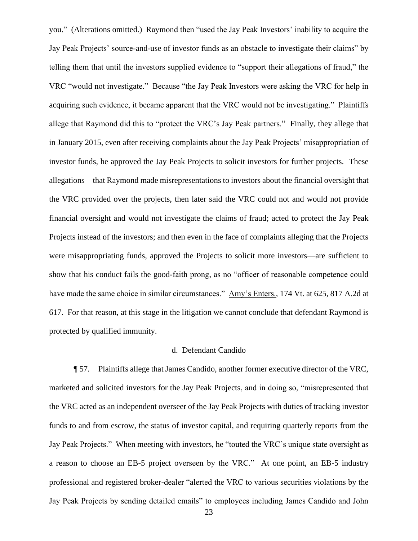you." (Alterations omitted.) Raymond then "used the Jay Peak Investors' inability to acquire the Jay Peak Projects' source-and-use of investor funds as an obstacle to investigate their claims" by telling them that until the investors supplied evidence to "support their allegations of fraud," the VRC "would not investigate." Because "the Jay Peak Investors were asking the VRC for help in acquiring such evidence, it became apparent that the VRC would not be investigating." Plaintiffs allege that Raymond did this to "protect the VRC's Jay Peak partners." Finally, they allege that in January 2015, even after receiving complaints about the Jay Peak Projects' misappropriation of investor funds, he approved the Jay Peak Projects to solicit investors for further projects. These allegations—that Raymond made misrepresentations to investors about the financial oversight that the VRC provided over the projects, then later said the VRC could not and would not provide financial oversight and would not investigate the claims of fraud; acted to protect the Jay Peak Projects instead of the investors; and then even in the face of complaints alleging that the Projects were misappropriating funds, approved the Projects to solicit more investors—are sufficient to show that his conduct fails the good-faith prong, as no "officer of reasonable competence could have made the same choice in similar circumstances." Amy's Enters., 174 Vt. at 625, 817 A.2d at 617. For that reason, at this stage in the litigation we cannot conclude that defendant Raymond is protected by qualified immunity.

### d. Defendant Candido

¶ 57. Plaintiffs allege that James Candido, another former executive director of the VRC, marketed and solicited investors for the Jay Peak Projects, and in doing so, "misrepresented that the VRC acted as an independent overseer of the Jay Peak Projects with duties of tracking investor funds to and from escrow, the status of investor capital, and requiring quarterly reports from the Jay Peak Projects." When meeting with investors, he "touted the VRC's unique state oversight as a reason to choose an EB-5 project overseen by the VRC." At one point, an EB-5 industry professional and registered broker-dealer "alerted the VRC to various securities violations by the Jay Peak Projects by sending detailed emails" to employees including James Candido and John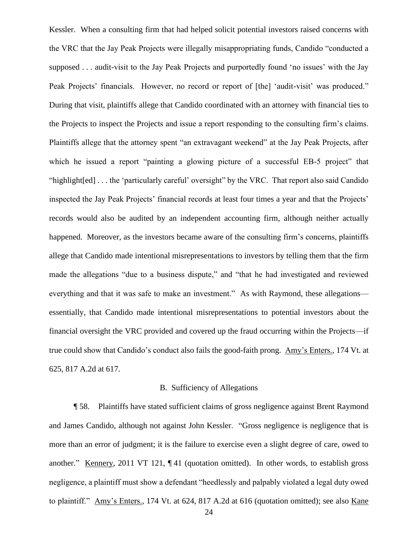Kessler. When a consulting firm that had helped solicit potential investors raised concerns with the VRC that the Jay Peak Projects were illegally misappropriating funds, Candido "conducted a supposed . . . audit-visit to the Jay Peak Projects and purportedly found 'no issues' with the Jay Peak Projects' financials. However, no record or report of [the] 'audit-visit' was produced." During that visit, plaintiffs allege that Candido coordinated with an attorney with financial ties to the Projects to inspect the Projects and issue a report responding to the consulting firm's claims. Plaintiffs allege that the attorney spent "an extravagant weekend" at the Jay Peak Projects, after which he issued a report "painting a glowing picture of a successful EB-5 project" that "highlight[ed] . . . the 'particularly careful' oversight" by the VRC. That report also said Candido inspected the Jay Peak Projects' financial records at least four times a year and that the Projects' records would also be audited by an independent accounting firm, although neither actually happened. Moreover, as the investors became aware of the consulting firm's concerns, plaintiffs allege that Candido made intentional misrepresentations to investors by telling them that the firm made the allegations "due to a business dispute," and "that he had investigated and reviewed everything and that it was safe to make an investment." As with Raymond, these allegations essentially, that Candido made intentional misrepresentations to potential investors about the financial oversight the VRC provided and covered up the fraud occurring within the Projects—if true could show that Candido's conduct also fails the good-faith prong. Amy's Enters., 174 Vt. at 625, 817 A.2d at 617.

### B. Sufficiency of Allegations

¶ 58. Plaintiffs have stated sufficient claims of gross negligence against Brent Raymond and James Candido, although not against John Kessler. "Gross negligence is negligence that is more than an error of judgment; it is the failure to exercise even a slight degree of care, owed to another." Kennery, 2011 VT 121, ¶ 41 (quotation omitted). In other words, to establish gross negligence, a plaintiff must show a defendant "heedlessly and palpably violated a legal duty owed to plaintiff." Amy's Enters., 174 Vt. at 624, 817 A.2d at 616 (quotation omitted); see also Kane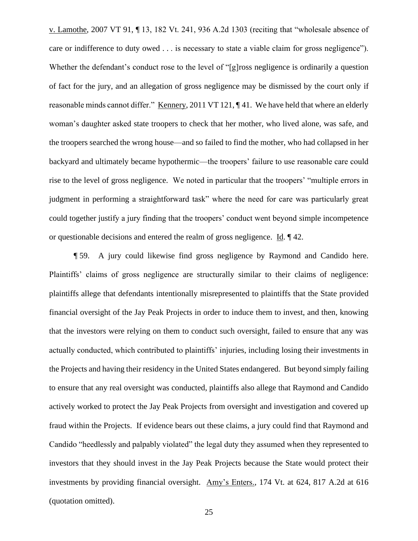v. Lamothe, 2007 VT 91, ¶ 13, 182 Vt. 241, 936 A.2d 1303 (reciting that "wholesale absence of care or indifference to duty owed . . . is necessary to state a viable claim for gross negligence"). Whether the defendant's conduct rose to the level of "[g]ross negligence is ordinarily a question of fact for the jury, and an allegation of gross negligence may be dismissed by the court only if reasonable minds cannot differ." Kennery, 2011 VT 121, ¶ 41. We have held that where an elderly woman's daughter asked state troopers to check that her mother, who lived alone, was safe, and the troopers searched the wrong house—and so failed to find the mother, who had collapsed in her backyard and ultimately became hypothermic—the troopers' failure to use reasonable care could rise to the level of gross negligence. We noted in particular that the troopers' "multiple errors in judgment in performing a straightforward task" where the need for care was particularly great could together justify a jury finding that the troopers' conduct went beyond simple incompetence or questionable decisions and entered the realm of gross negligence. Id. ¶ 42.

¶ 59. A jury could likewise find gross negligence by Raymond and Candido here. Plaintiffs' claims of gross negligence are structurally similar to their claims of negligence: plaintiffs allege that defendants intentionally misrepresented to plaintiffs that the State provided financial oversight of the Jay Peak Projects in order to induce them to invest, and then, knowing that the investors were relying on them to conduct such oversight, failed to ensure that any was actually conducted, which contributed to plaintiffs' injuries, including losing their investments in the Projects and having their residency in the United States endangered. But beyond simply failing to ensure that any real oversight was conducted, plaintiffs also allege that Raymond and Candido actively worked to protect the Jay Peak Projects from oversight and investigation and covered up fraud within the Projects. If evidence bears out these claims, a jury could find that Raymond and Candido "heedlessly and palpably violated" the legal duty they assumed when they represented to investors that they should invest in the Jay Peak Projects because the State would protect their investments by providing financial oversight. Amy's Enters., 174 Vt. at 624, 817 A.2d at 616 (quotation omitted).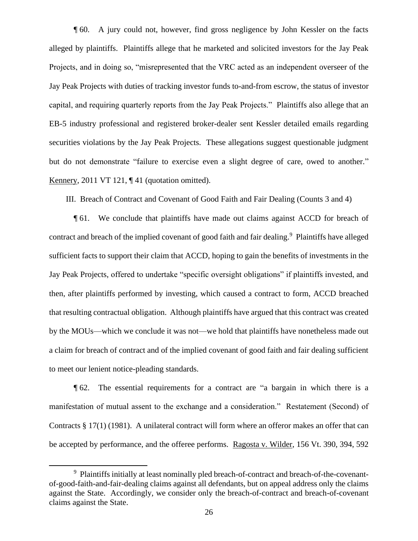¶ 60. A jury could not, however, find gross negligence by John Kessler on the facts alleged by plaintiffs. Plaintiffs allege that he marketed and solicited investors for the Jay Peak Projects, and in doing so, "misrepresented that the VRC acted as an independent overseer of the Jay Peak Projects with duties of tracking investor funds to-and-from escrow, the status of investor capital, and requiring quarterly reports from the Jay Peak Projects." Plaintiffs also allege that an EB-5 industry professional and registered broker-dealer sent Kessler detailed emails regarding securities violations by the Jay Peak Projects. These allegations suggest questionable judgment but do not demonstrate "failure to exercise even a slight degree of care, owed to another." Kennery, 2011 VT 121, ¶ 41 (quotation omitted).

III. Breach of Contract and Covenant of Good Faith and Fair Dealing (Counts 3 and 4)

¶ 61. We conclude that plaintiffs have made out claims against ACCD for breach of contract and breach of the implied covenant of good faith and fair dealing.<sup>9</sup> Plaintiffs have alleged sufficient facts to support their claim that ACCD, hoping to gain the benefits of investments in the Jay Peak Projects, offered to undertake "specific oversight obligations" if plaintiffs invested, and then, after plaintiffs performed by investing, which caused a contract to form, ACCD breached that resulting contractual obligation. Although plaintiffs have argued that this contract was created by the MOUs—which we conclude it was not—we hold that plaintiffs have nonetheless made out a claim for breach of contract and of the implied covenant of good faith and fair dealing sufficient to meet our lenient notice-pleading standards.

¶ 62. The essential requirements for a contract are "a bargain in which there is a manifestation of mutual assent to the exchange and a consideration." Restatement (Second) of Contracts § 17(1) (1981). A unilateral contract will form where an offeror makes an offer that can be accepted by performance, and the offeree performs. Ragosta v. Wilder, 156 Vt. 390, 394, 592

<sup>&</sup>lt;sup>9</sup> Plaintiffs initially at least nominally pled breach-of-contract and breach-of-the-covenantof-good-faith-and-fair-dealing claims against all defendants, but on appeal address only the claims against the State. Accordingly, we consider only the breach-of-contract and breach-of-covenant claims against the State.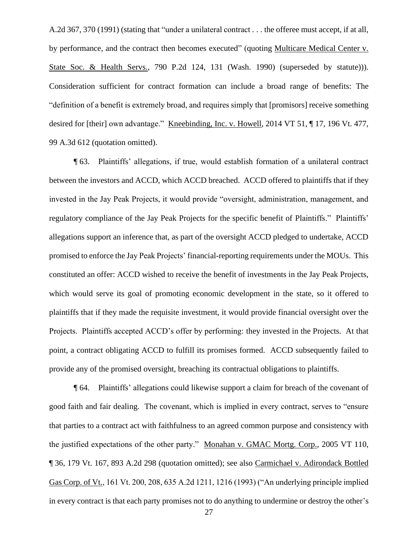A.2d 367, 370 (1991) (stating that "under a unilateral contract . . . the offeree must accept, if at all, by performance, and the contract then becomes executed" (quoting Multicare Medical Center v. State Soc. & Health Servs., 790 P.2d 124, 131 (Wash. 1990) (superseded by statute))). Consideration sufficient for contract formation can include a broad range of benefits: The "definition of a benefit is extremely broad, and requires simply that [promisors] receive something desired for [their] own advantage." Kneebinding, Inc. v. Howell, 2014 VT 51, ¶ 17, 196 Vt. 477, 99 A.3d 612 (quotation omitted).

¶ 63. Plaintiffs' allegations, if true, would establish formation of a unilateral contract between the investors and ACCD, which ACCD breached. ACCD offered to plaintiffs that if they invested in the Jay Peak Projects, it would provide "oversight, administration, management, and regulatory compliance of the Jay Peak Projects for the specific benefit of Plaintiffs." Plaintiffs' allegations support an inference that, as part of the oversight ACCD pledged to undertake, ACCD promised to enforce the Jay Peak Projects' financial-reporting requirements under the MOUs. This constituted an offer: ACCD wished to receive the benefit of investments in the Jay Peak Projects, which would serve its goal of promoting economic development in the state, so it offered to plaintiffs that if they made the requisite investment, it would provide financial oversight over the Projects. Plaintiffs accepted ACCD's offer by performing: they invested in the Projects. At that point, a contract obligating ACCD to fulfill its promises formed. ACCD subsequently failed to provide any of the promised oversight, breaching its contractual obligations to plaintiffs.

¶ 64. Plaintiffs' allegations could likewise support a claim for breach of the covenant of good faith and fair dealing. The covenant, which is implied in every contract, serves to "ensure that parties to a contract act with faithfulness to an agreed common purpose and consistency with the justified expectations of the other party." Monahan v. GMAC Mortg. Corp., 2005 VT 110, ¶ 36, 179 Vt. 167, 893 A.2d 298 (quotation omitted); see also Carmichael v. Adirondack Bottled Gas Corp. of Vt., 161 Vt. 200, 208, 635 A.2d 1211, 1216 (1993) ("An underlying principle implied in every contract is that each party promises not to do anything to undermine or destroy the other's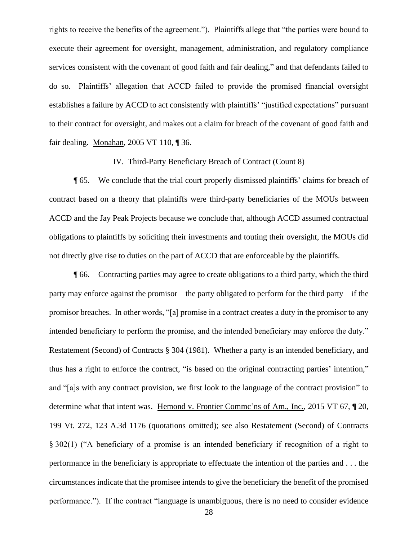rights to receive the benefits of the agreement."). Plaintiffs allege that "the parties were bound to execute their agreement for oversight, management, administration, and regulatory compliance services consistent with the covenant of good faith and fair dealing," and that defendants failed to do so. Plaintiffs' allegation that ACCD failed to provide the promised financial oversight establishes a failure by ACCD to act consistently with plaintiffs' "justified expectations" pursuant to their contract for oversight, and makes out a claim for breach of the covenant of good faith and fair dealing. Monahan, 2005 VT 110, ¶ 36.

IV. Third-Party Beneficiary Breach of Contract (Count 8)

¶ 65. We conclude that the trial court properly dismissed plaintiffs' claims for breach of contract based on a theory that plaintiffs were third-party beneficiaries of the MOUs between ACCD and the Jay Peak Projects because we conclude that, although ACCD assumed contractual obligations to plaintiffs by soliciting their investments and touting their oversight, the MOUs did not directly give rise to duties on the part of ACCD that are enforceable by the plaintiffs.

¶ 66. Contracting parties may agree to create obligations to a third party, which the third party may enforce against the promisor—the party obligated to perform for the third party—if the promisor breaches. In other words, "[a] promise in a contract creates a duty in the promisor to any intended beneficiary to perform the promise, and the intended beneficiary may enforce the duty." Restatement (Second) of Contracts § 304 (1981). Whether a party is an intended beneficiary, and thus has a right to enforce the contract, "is based on the original contracting parties' intention," and "[a]s with any contract provision, we first look to the language of the contract provision" to determine what that intent was. Hemond v. Frontier Commc'ns of Am., Inc., 2015 VT 67, ¶ 20, 199 Vt. 272, 123 A.3d 1176 (quotations omitted); see also Restatement (Second) of Contracts § 302(1) ("A beneficiary of a promise is an intended beneficiary if recognition of a right to performance in the beneficiary is appropriate to effectuate the intention of the parties and . . . the circumstances indicate that the promisee intends to give the beneficiary the benefit of the promised performance."). If the contract "language is unambiguous, there is no need to consider evidence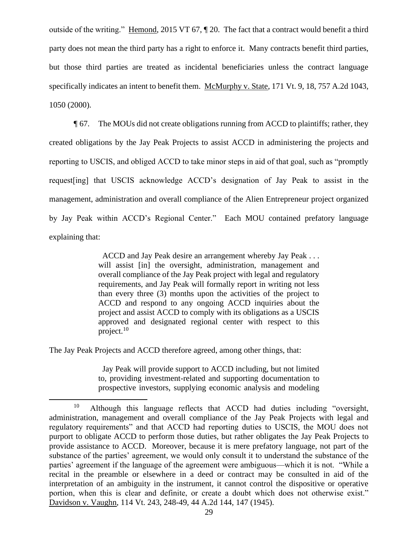outside of the writing." Hemond, 2015 VT 67, ¶ 20. The fact that a contract would benefit a third party does not mean the third party has a right to enforce it. Many contracts benefit third parties, but those third parties are treated as incidental beneficiaries unless the contract language specifically indicates an intent to benefit them. McMurphy v. State, 171 Vt. 9, 18, 757 A.2d 1043, 1050 (2000).

¶ 67. The MOUs did not create obligations running from ACCD to plaintiffs; rather, they created obligations by the Jay Peak Projects to assist ACCD in administering the projects and reporting to USCIS, and obliged ACCD to take minor steps in aid of that goal, such as "promptly request[ing] that USCIS acknowledge ACCD's designation of Jay Peak to assist in the management, administration and overall compliance of the Alien Entrepreneur project organized by Jay Peak within ACCD's Regional Center." Each MOU contained prefatory language explaining that:

> ACCD and Jay Peak desire an arrangement whereby Jay Peak . . . will assist [in] the oversight, administration, management and overall compliance of the Jay Peak project with legal and regulatory requirements, and Jay Peak will formally report in writing not less than every three (3) months upon the activities of the project to ACCD and respond to any ongoing ACCD inquiries about the project and assist ACCD to comply with its obligations as a USCIS approved and designated regional center with respect to this project. $10$

The Jay Peak Projects and ACCD therefore agreed, among other things, that:

 Jay Peak will provide support to ACCD including, but not limited to, providing investment-related and supporting documentation to prospective investors, supplying economic analysis and modeling

<sup>10</sup> Although this language reflects that ACCD had duties including "oversight, administration, management and overall compliance of the Jay Peak Projects with legal and regulatory requirements" and that ACCD had reporting duties to USCIS, the MOU does not purport to obligate ACCD to perform those duties, but rather obligates the Jay Peak Projects to provide assistance to ACCD. Moreover, because it is mere prefatory language, not part of the substance of the parties' agreement, we would only consult it to understand the substance of the parties' agreement if the language of the agreement were ambiguous—which it is not. "While a recital in the preamble or elsewhere in a deed or contract may be consulted in aid of the interpretation of an ambiguity in the instrument, it cannot control the dispositive or operative portion, when this is clear and definite, or create a doubt which does not otherwise exist." Davidson v. Vaughn, 114 Vt. 243, 248-49, 44 A.2d 144, 147 (1945).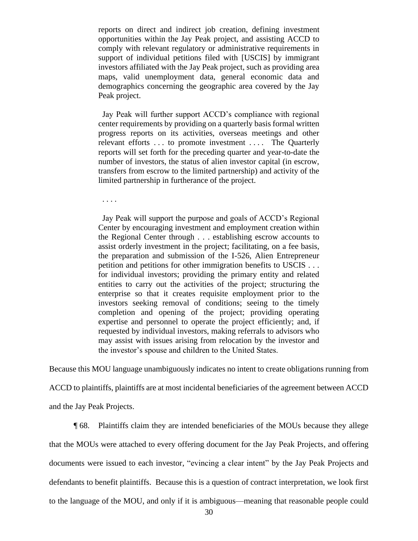reports on direct and indirect job creation, defining investment opportunities within the Jay Peak project, and assisting ACCD to comply with relevant regulatory or administrative requirements in support of individual petitions filed with [USCIS] by immigrant investors affiliated with the Jay Peak project, such as providing area maps, valid unemployment data, general economic data and demographics concerning the geographic area covered by the Jay Peak project.

 Jay Peak will further support ACCD's compliance with regional center requirements by providing on a quarterly basis formal written progress reports on its activities, overseas meetings and other relevant efforts ... to promote investment .... The Quarterly reports will set forth for the preceding quarter and year-to-date the number of investors, the status of alien investor capital (in escrow, transfers from escrow to the limited partnership) and activity of the limited partnership in furtherance of the project.

. . . .

 Jay Peak will support the purpose and goals of ACCD's Regional Center by encouraging investment and employment creation within the Regional Center through . . . establishing escrow accounts to assist orderly investment in the project; facilitating, on a fee basis, the preparation and submission of the I-526, Alien Entrepreneur petition and petitions for other immigration benefits to USCIS . . . for individual investors; providing the primary entity and related entities to carry out the activities of the project; structuring the enterprise so that it creates requisite employment prior to the investors seeking removal of conditions; seeing to the timely completion and opening of the project; providing operating expertise and personnel to operate the project efficiently; and, if requested by individual investors, making referrals to advisors who may assist with issues arising from relocation by the investor and the investor's spouse and children to the United States.

Because this MOU language unambiguously indicates no intent to create obligations running from

ACCD to plaintiffs, plaintiffs are at most incidental beneficiaries of the agreement between ACCD

and the Jay Peak Projects.

¶ 68. Plaintiffs claim they are intended beneficiaries of the MOUs because they allege that the MOUs were attached to every offering document for the Jay Peak Projects, and offering documents were issued to each investor, "evincing a clear intent" by the Jay Peak Projects and defendants to benefit plaintiffs. Because this is a question of contract interpretation, we look first to the language of the MOU, and only if it is ambiguous—meaning that reasonable people could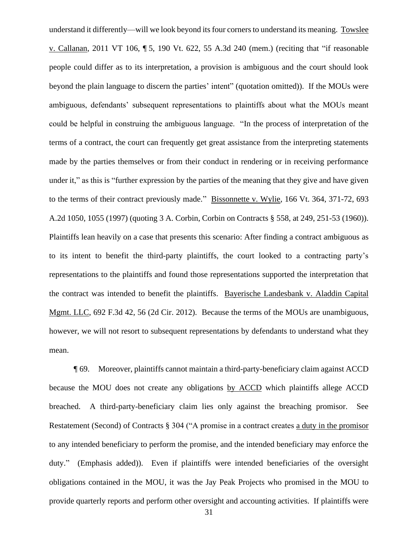understand it differently—will we look beyond its four corners to understand its meaning. Towslee v. Callanan, 2011 VT 106, ¶ 5, 190 Vt. 622, 55 A.3d 240 (mem.) (reciting that "if reasonable people could differ as to its interpretation, a provision is ambiguous and the court should look beyond the plain language to discern the parties' intent" (quotation omitted)). If the MOUs were ambiguous, defendants' subsequent representations to plaintiffs about what the MOUs meant could be helpful in construing the ambiguous language. "In the process of interpretation of the terms of a contract, the court can frequently get great assistance from the interpreting statements made by the parties themselves or from their conduct in rendering or in receiving performance under it," as this is "further expression by the parties of the meaning that they give and have given to the terms of their contract previously made." Bissonnette v. Wylie, 166 Vt. 364, 371-72, 693 A.2d 1050, 1055 (1997) (quoting 3 A. Corbin, Corbin on Contracts § 558, at 249, 251-53 (1960)). Plaintiffs lean heavily on a case that presents this scenario: After finding a contract ambiguous as to its intent to benefit the third-party plaintiffs, the court looked to a contracting party's representations to the plaintiffs and found those representations supported the interpretation that the contract was intended to benefit the plaintiffs. Bayerische Landesbank v. Aladdin Capital Mgmt. LLC, 692 F.3d 42, 56 (2d Cir. 2012). Because the terms of the MOUs are unambiguous, however, we will not resort to subsequent representations by defendants to understand what they mean.

¶ 69. Moreover, plaintiffs cannot maintain a third-party-beneficiary claim against ACCD because the MOU does not create any obligations by ACCD which plaintiffs allege ACCD breached. A third-party-beneficiary claim lies only against the breaching promisor. See Restatement (Second) of Contracts § 304 ("A promise in a contract creates a duty in the promisor to any intended beneficiary to perform the promise, and the intended beneficiary may enforce the duty." (Emphasis added)). Even if plaintiffs were intended beneficiaries of the oversight obligations contained in the MOU, it was the Jay Peak Projects who promised in the MOU to provide quarterly reports and perform other oversight and accounting activities. If plaintiffs were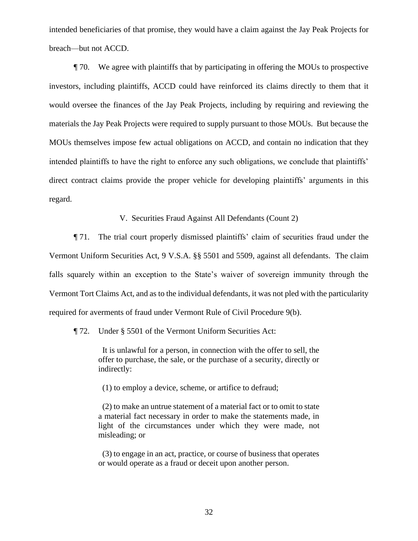intended beneficiaries of that promise, they would have a claim against the Jay Peak Projects for breach—but not ACCD.

¶ 70. We agree with plaintiffs that by participating in offering the MOUs to prospective investors, including plaintiffs, ACCD could have reinforced its claims directly to them that it would oversee the finances of the Jay Peak Projects, including by requiring and reviewing the materials the Jay Peak Projects were required to supply pursuant to those MOUs. But because the MOUs themselves impose few actual obligations on ACCD, and contain no indication that they intended plaintiffs to have the right to enforce any such obligations, we conclude that plaintiffs' direct contract claims provide the proper vehicle for developing plaintiffs' arguments in this regard.

V. Securities Fraud Against All Defendants (Count 2)

¶ 71. The trial court properly dismissed plaintiffs' claim of securities fraud under the Vermont Uniform Securities Act, 9 V.S.A. §§ 5501 and 5509, against all defendants. The claim falls squarely within an exception to the State's waiver of sovereign immunity through the Vermont Tort Claims Act, and as to the individual defendants, it was not pled with the particularity required for averments of fraud under Vermont Rule of Civil Procedure 9(b).

¶ 72. Under § 5501 of the Vermont Uniform Securities Act:

 It is unlawful for a person, in connection with the offer to sell, the offer to purchase, the sale, or the purchase of a security, directly or indirectly:

(1) to employ a device, scheme, or artifice to defraud;

 (2) to make an untrue statement of a material fact or to omit to state a material fact necessary in order to make the statements made, in light of the circumstances under which they were made, not misleading; or

 (3) to engage in an act, practice, or course of business that operates or would operate as a fraud or deceit upon another person.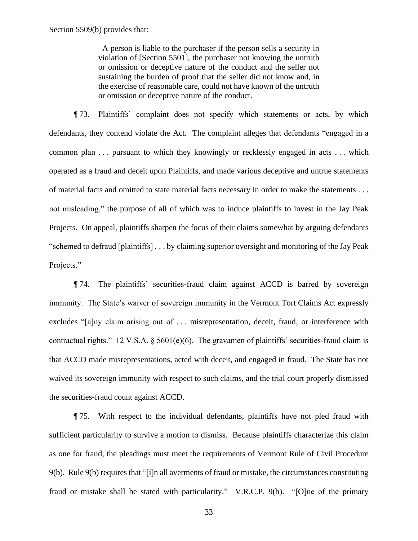A person is liable to the purchaser if the person sells a security in violation of [Section 5501], the purchaser not knowing the untruth or omission or deceptive nature of the conduct and the seller not sustaining the burden of proof that the seller did not know and, in the exercise of reasonable care, could not have known of the untruth or omission or deceptive nature of the conduct.

¶ 73. Plaintiffs' complaint does not specify which statements or acts, by which defendants, they contend violate the Act. The complaint alleges that defendants "engaged in a common plan . . . pursuant to which they knowingly or recklessly engaged in acts . . . which operated as a fraud and deceit upon Plaintiffs, and made various deceptive and untrue statements of material facts and omitted to state material facts necessary in order to make the statements . . . not misleading," the purpose of all of which was to induce plaintiffs to invest in the Jay Peak Projects. On appeal, plaintiffs sharpen the focus of their claims somewhat by arguing defendants "schemed to defraud [plaintiffs] . . . by claiming superior oversight and monitoring of the Jay Peak Projects."

¶ 74. The plaintiffs' securities-fraud claim against ACCD is barred by sovereign immunity. The State's waiver of sovereign immunity in the Vermont Tort Claims Act expressly excludes "[a]ny claim arising out of ... misrepresentation, deceit, fraud, or interference with contractual rights." 12 V.S.A.  $\S$  5601(e)(6). The gravamen of plaintiffs' securities-fraud claim is that ACCD made misrepresentations, acted with deceit, and engaged in fraud. The State has not waived its sovereign immunity with respect to such claims, and the trial court properly dismissed the securities-fraud count against ACCD.

¶ 75. With respect to the individual defendants, plaintiffs have not pled fraud with sufficient particularity to survive a motion to dismiss. Because plaintiffs characterize this claim as one for fraud, the pleadings must meet the requirements of Vermont Rule of Civil Procedure 9(b). Rule 9(b) requires that "[i]n all averments of fraud or mistake, the circumstances constituting fraud or mistake shall be stated with particularity." V.R.C.P. 9(b). "[O]ne of the primary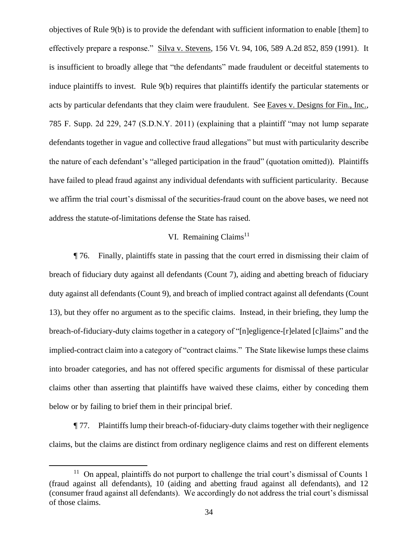objectives of Rule 9(b) is to provide the defendant with sufficient information to enable [them] to effectively prepare a response." Silva v. Stevens, 156 Vt. 94, 106, 589 A.2d 852, 859 (1991). It is insufficient to broadly allege that "the defendants" made fraudulent or deceitful statements to induce plaintiffs to invest. Rule 9(b) requires that plaintiffs identify the particular statements or acts by particular defendants that they claim were fraudulent. See Eaves v. Designs for Fin., Inc., 785 F. Supp. 2d 229, 247 (S.D.N.Y. 2011) (explaining that a plaintiff "may not lump separate defendants together in vague and collective fraud allegations" but must with particularity describe the nature of each defendant's "alleged participation in the fraud" (quotation omitted)). Plaintiffs have failed to plead fraud against any individual defendants with sufficient particularity. Because we affirm the trial court's dismissal of the securities-fraud count on the above bases, we need not address the statute-of-limitations defense the State has raised.

# VI. Remaining Claims<sup>11</sup>

¶ 76. Finally, plaintiffs state in passing that the court erred in dismissing their claim of breach of fiduciary duty against all defendants (Count 7), aiding and abetting breach of fiduciary duty against all defendants (Count 9), and breach of implied contract against all defendants (Count 13), but they offer no argument as to the specific claims. Instead, in their briefing, they lump the breach-of-fiduciary-duty claims together in a category of "[n]egligence-[r]elated [c]laims" and the implied-contract claim into a category of "contract claims." The State likewise lumps these claims into broader categories, and has not offered specific arguments for dismissal of these particular claims other than asserting that plaintiffs have waived these claims, either by conceding them below or by failing to brief them in their principal brief.

¶ 77. Plaintiffs lump their breach-of-fiduciary-duty claims together with their negligence claims, but the claims are distinct from ordinary negligence claims and rest on different elements

 $11$  On appeal, plaintiffs do not purport to challenge the trial court's dismissal of Counts 1 (fraud against all defendants), 10 (aiding and abetting fraud against all defendants), and 12 (consumer fraud against all defendants). We accordingly do not address the trial court's dismissal of those claims.